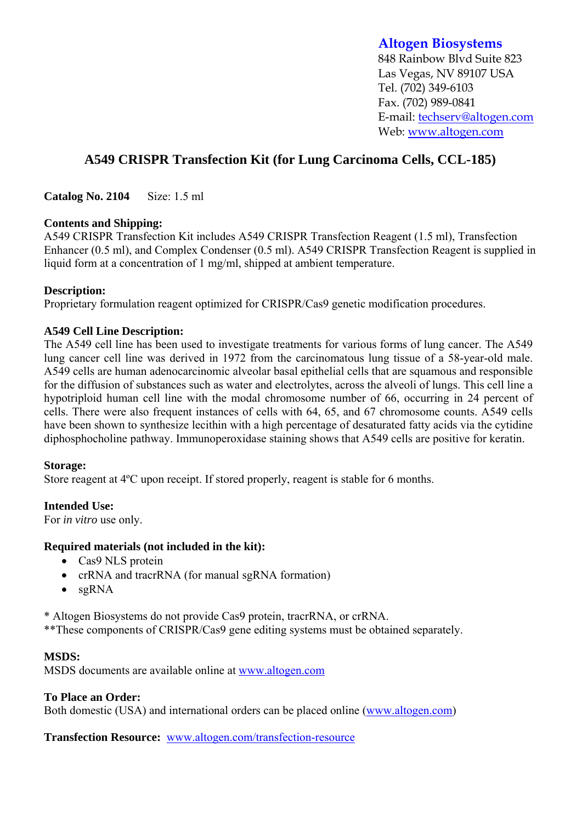## **Altogen Biosystems**

848 Rainbow Blvd Suite 823 Las Vegas, NV 89107 USA Tel. (702) 349-6103 Fax. (702) 989-0841 E-mail: techserv@altogen.com Web: www.altogen.com

# **A549 CRISPR Transfection Kit (for Lung Carcinoma Cells, CCL-185)**

**Catalog No. 2104** Size: 1.5 ml

## **Contents and Shipping:**

A549 CRISPR Transfection Kit includes A549 CRISPR Transfection Reagent (1.5 ml), Transfection Enhancer (0.5 ml), and Complex Condenser (0.5 ml). A549 CRISPR Transfection Reagent is supplied in liquid form at a concentration of 1 mg/ml, shipped at ambient temperature.

## **Description:**

Proprietary formulation reagent optimized for CRISPR/Cas9 genetic modification procedures.

## **A549 Cell Line Description:**

The A549 cell line has been used to investigate treatments for various forms of lung cancer. The A549 lung cancer cell line was derived in 1972 from the carcinomatous lung tissue of a 58-year-old male. A549 cells are human adenocarcinomic alveolar basal epithelial cells that are squamous and responsible for the diffusion of substances such as water and electrolytes, across the alveoli of lungs. This cell line a hypotriploid human cell line with the modal chromosome number of 66, occurring in 24 percent of cells. There were also frequent instances of cells with 64, 65, and 67 chromosome counts. A549 cells have been shown to synthesize lecithin with a high percentage of desaturated fatty acids via the cytidine diphosphocholine pathway. Immunoperoxidase staining shows that A549 cells are positive for keratin.

#### **Storage:**

Store reagent at 4ºC upon receipt. If stored properly, reagent is stable for 6 months.

## **Intended Use:**

For *in vitro* use only.

## **Required materials (not included in the kit):**

- Cas9 NLS protein
- crRNA and tracrRNA (for manual sgRNA formation)
- $\bullet$  sgRNA

\* Altogen Biosystems do not provide Cas9 protein, tracrRNA, or crRNA.

\*\*These components of CRISPR/Cas9 gene editing systems must be obtained separately.

## **MSDS:**

MSDS documents are available online at www.altogen.com

## **To Place an Order:**

Both domestic (USA) and international orders can be placed online (www.altogen.com)

**Transfection Resource:** www.altogen.com/transfection-resource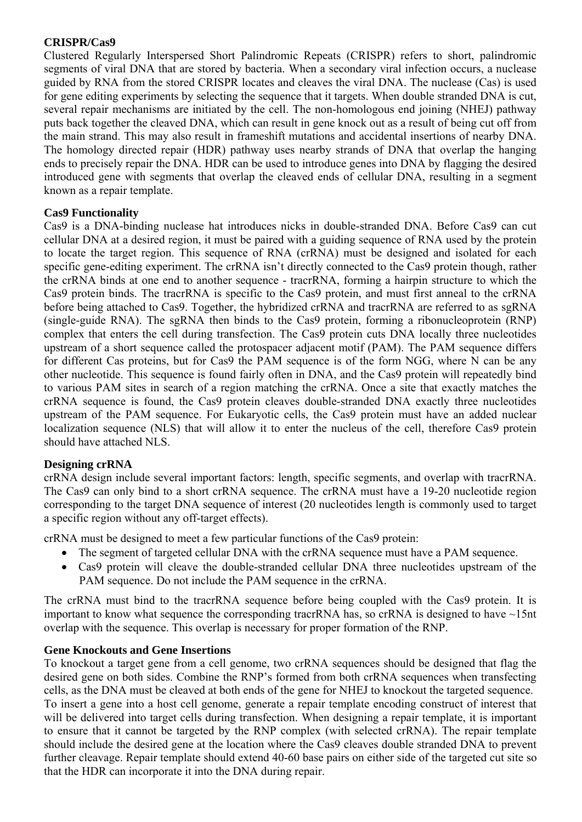#### **CRISPR/Cas9**

Clustered Regularly Interspersed Short Palindromic Repeats (CRISPR) refers to short, palindromic segments of viral DNA that are stored by bacteria. When a secondary viral infection occurs, a nuclease guided by RNA from the stored CRISPR locates and cleaves the viral DNA. The nuclease (Cas) is used for gene editing experiments by selecting the sequence that it targets. When double stranded DNA is cut, several repair mechanisms are initiated by the cell. The non-homologous end joining (NHEJ) pathway puts back together the cleaved DNA, which can result in gene knock out as a result of being cut off from the main strand. This may also result in frameshift mutations and accidental insertions of nearby DNA. The homology directed repair (HDR) pathway uses nearby strands of DNA that overlap the hanging ends to precisely repair the DNA. HDR can be used to introduce genes into DNA by flagging the desired introduced gene with segments that overlap the cleaved ends of cellular DNA, resulting in a segment known as a repair template.

## **Cas9 Functionality**

Cas9 is a DNA-binding nuclease hat introduces nicks in double-stranded DNA. Before Cas9 can cut cellular DNA at a desired region, it must be paired with a guiding sequence of RNA used by the protein to locate the target region. This sequence of RNA (crRNA) must be designed and isolated for each specific gene-editing experiment. The crRNA isn't directly connected to the Cas9 protein though, rather the crRNA binds at one end to another sequence - tracrRNA, forming a hairpin structure to which the Cas9 protein binds. The tracrRNA is specific to the Cas9 protein, and must first anneal to the crRNA before being attached to Cas9. Together, the hybridized crRNA and tracrRNA are referred to as sgRNA (single-guide RNA). The sgRNA then binds to the Cas9 protein, forming a ribonucleoprotein (RNP) complex that enters the cell during transfection. The Cas9 protein cuts DNA locally three nucleotides upstream of a short sequence called the protospacer adjacent motif (PAM). The PAM sequence differs for different Cas proteins, but for Cas9 the PAM sequence is of the form NGG, where N can be any other nucleotide. This sequence is found fairly often in DNA, and the Cas9 protein will repeatedly bind to various PAM sites in search of a region matching the crRNA. Once a site that exactly matches the crRNA sequence is found, the Cas9 protein cleaves double-stranded DNA exactly three nucleotides upstream of the PAM sequence. For Eukaryotic cells, the Cas9 protein must have an added nuclear localization sequence (NLS) that will allow it to enter the nucleus of the cell, therefore Cas9 protein should have attached NLS.

## **Designing crRNA**

crRNA design include several important factors: length, specific segments, and overlap with tracrRNA. The Cas9 can only bind to a short crRNA sequence. The crRNA must have a 19-20 nucleotide region corresponding to the target DNA sequence of interest (20 nucleotides length is commonly used to target a specific region without any off-target effects).

crRNA must be designed to meet a few particular functions of the Cas9 protein:

- The segment of targeted cellular DNA with the crRNA sequence must have a PAM sequence.
- Cas9 protein will cleave the double-stranded cellular DNA three nucleotides upstream of the PAM sequence. Do not include the PAM sequence in the crRNA.

The crRNA must bind to the tracrRNA sequence before being coupled with the Cas9 protein. It is important to know what sequence the corresponding tracrRNA has, so  $crRNA$  is designed to have  $\sim$ 15nt overlap with the sequence. This overlap is necessary for proper formation of the RNP.

## **Gene Knockouts and Gene Insertions**

To knockout a target gene from a cell genome, two crRNA sequences should be designed that flag the desired gene on both sides. Combine the RNP's formed from both crRNA sequences when transfecting cells, as the DNA must be cleaved at both ends of the gene for NHEJ to knockout the targeted sequence.

To insert a gene into a host cell genome, generate a repair template encoding construct of interest that will be delivered into target cells during transfection. When designing a repair template, it is important to ensure that it cannot be targeted by the RNP complex (with selected crRNA). The repair template should include the desired gene at the location where the Cas9 cleaves double stranded DNA to prevent further cleavage. Repair template should extend 40-60 base pairs on either side of the targeted cut site so that the HDR can incorporate it into the DNA during repair.